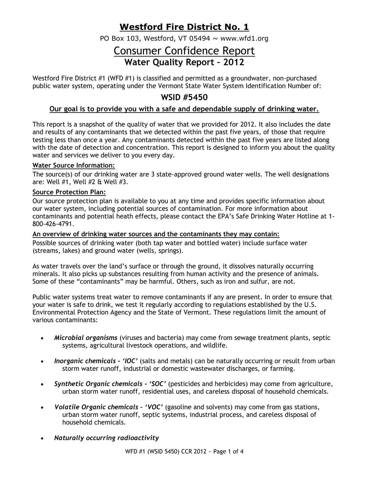## **Westford Fire District No. 1**

PO Box 103, Westford, VT 05494  $\sim$  www.wfd1.org

# Consumer Confidence Report **Water Quality Report – 2012**

Westford Fire District #1 (WFD #1) is classified and permitted as a groundwater, non-purchased public water system, operating under the Vermont State Water System Identification Number of:

## **WSID #5450**

## **Our goal is to provide you with a safe and dependable supply of drinking water.**

This report is a snapshot of the quality of water that we provided for 2012. It also includes the date and results of any contaminants that we detected within the past five years, of those that require testing less than once a year. Any contaminants detected within the past five years are listed along with the date of detection and concentration. This report is designed to inform you about the quality water and services we deliver to you every day.

### **Water Source Information:**

The source(s) of our drinking water are 3 state-approved ground water wells. The well designations are: Well #1, Well #2 & Well #3.

#### **Source Protection Plan:**

Our source protection plan is available to you at any time and provides specific information about our water system, including potential sources of contamination. For more information about contaminants and potential heath effects, please contact the EPA's Safe Drinking Water Hotline at 1- 800-426-4791.

#### **An overview of drinking water sources and the contaminants they may contain:**

Possible sources of drinking water (both tap water and bottled water) include surface water (streams, lakes) and ground water (wells, springs).

As water travels over the land's surface or through the ground, it dissolves naturally occurring minerals. It also picks up substances resulting from human activity and the presence of animals. Some of these "contaminants" may be harmful. Others, such as iron and sulfur, are not.

Public water systems treat water to remove contaminants if any are present. In order to ensure that your water is safe to drink, we test it regularly according to regulations established by the U.S. Environmental Protection Agency and the State of Vermont. These regulations limit the amount of various contaminants:

- *Microbial organisms* (viruses and bacteria) may come from sewage treatment plants, septic systems, agricultural livestock operations, and wildlife.
- *Inorganic chemicals - 'IOC'* (salts and metals) can be naturally occurring or result from urban storm water runoff, industrial or domestic wastewater discharges, or farming.
- *Synthetic Organic chemicals - 'SOC'* (pesticides and herbicides) may come from agriculture, urban storm water runoff, residential uses, and careless disposal of household chemicals.
- *Volatile Organic chemicals – 'VOC'* (gasoline and solvents) may come from gas stations, urban storm water runoff, septic systems, industrial process, and careless disposal of household chemicals.
- *Naturally occurring radioactivity*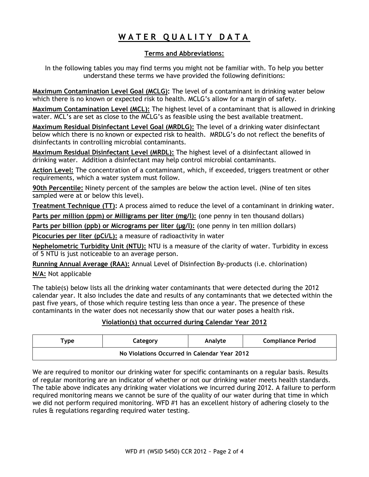# **W A T E R Q U A L I T Y D A T A**

## **Terms and Abbreviations:**

In the following tables you may find terms you might not be familiar with. To help you better understand these terms we have provided the following definitions:

**Maximum Contamination Level Goal (MCLG):** The level of a contaminant in drinking water below which there is no known or expected risk to health. MCLG's allow for a margin of safety.

**Maximum Contamination Level (MCL):** The highest level of a contaminant that is allowed in drinking water. MCL's are set as close to the MCLG's as feasible using the best available treatment.

**Maximum Residual Disinfectant Level Goal (MRDLG):** The level of a drinking water disinfectant below which there is no known or expected risk to health. MRDLG's do not reflect the benefits of disinfectants in controlling microbial contaminants.

**Maximum Residual Disinfectant Level (MRDL):** The highest level of a disinfectant allowed in drinking water. Addition a disinfectant may help control microbial contaminants.

**Action Level:** The concentration of a contaminant, which, if exceeded, triggers treatment or other requirements, which a water system must follow.

**90th Percentile:** Ninety percent of the samples are below the action level. (Nine of ten sites sampled were at or below this level).

**Treatment Technique (TT):** A process aimed to reduce the level of a contaminant in drinking water.

**Parts per million (ppm) or Milligrams per liter (mg/l):** (one penny in ten thousand dollars)

**Parts per billion (ppb) or Micrograms per liter (µg/l):** (one penny in ten million dollars)

**Picocuries per liter (pCi/L):** a measure of radioactivity in water

**Nephelometric Turbidity Unit (NTU):** NTU is a measure of the clarity of water. Turbidity in excess of 5 NTU is just noticeable to an average person.

**Running Annual Average (RAA):** Annual Level of Disinfection By-products (i.e. chlorination)

**N/A:** Not applicable

The table(s) below lists all the drinking water contaminants that were detected during the 2012 calendar year. It also includes the date and results of any contaminants that we detected within the past five years, of those which require testing less than once a year. The presence of these contaminants in the water does not necessarily show that our water poses a health risk.

## **Violation(s) that occurred during Calendar Year 2012**

| $\mathsf{vpe}$                               | Category | Analyte | <b>Compliance Period</b> |  |  |  |  |
|----------------------------------------------|----------|---------|--------------------------|--|--|--|--|
| No Violations Occurred in Calendar Year 2012 |          |         |                          |  |  |  |  |

We are required to monitor our drinking water for specific contaminants on a regular basis. Results of regular monitoring are an indicator of whether or not our drinking water meets health standards. The table above indicates any drinking water violations we incurred during 2012. A failure to perform required monitoring means we cannot be sure of the quality of our water during that time in which we did not perform required monitoring. WFD #1 has an excellent history of adhering closely to the rules & regulations regarding required water testing.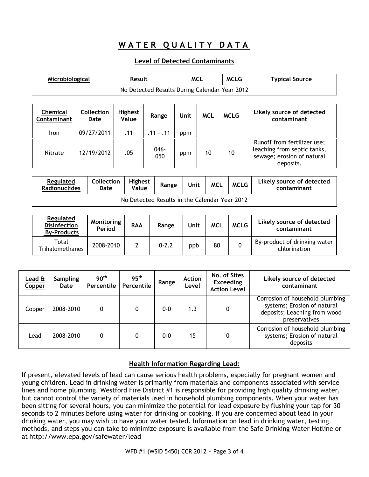## WATER QUALITY DATA

### **Level of Detected Contaminants**

| Microbiological                |                                               | Result                  |                  | <b>MCL</b> |            | <b>MCLG</b> | <b>Typical Source</b>                                                                                 |  |  |  |
|--------------------------------|-----------------------------------------------|-------------------------|------------------|------------|------------|-------------|-------------------------------------------------------------------------------------------------------|--|--|--|
|                                | No Detected Results During Calendar Year 2012 |                         |                  |            |            |             |                                                                                                       |  |  |  |
|                                |                                               |                         |                  |            |            |             |                                                                                                       |  |  |  |
| <b>Chemical</b><br>Contaminant | Collection<br>Date                            | <b>Highest</b><br>Value | Range            | Unit       | <b>MCL</b> | <b>MCLG</b> | Likely source of detected<br>contaminant                                                              |  |  |  |
| Iron                           | 09/27/2011                                    | .11                     | $.11 - .11$      | ppm        |            |             |                                                                                                       |  |  |  |
| Nitrate                        | 12/19/2012                                    | .05                     | $.046 -$<br>.050 | ppm        | 10         | 10          | Runoff from fertilizer use;<br>leaching from septic tanks,<br>sewage; erosion of natural<br>deposits. |  |  |  |

| <b>Regulated</b><br><b>Radionuclides</b>      | <b>Collection</b><br>Date | <b>Highest</b><br>Value | Range | Unit | <b>MCL</b> | <b>MCLG</b> | Likely source of detected<br>contaminant |  |
|-----------------------------------------------|---------------------------|-------------------------|-------|------|------------|-------------|------------------------------------------|--|
| No Detected Results in the Calendar Year 2012 |                           |                         |       |      |            |             |                                          |  |

| Regulated<br><b>Disinfection</b><br><b>By-Products</b> | Monitoring<br>Period | <b>RAA</b> | Range     | Unit | <b>MCL</b> | <b>MCLG</b> | Likely source of detected<br>contaminant     |
|--------------------------------------------------------|----------------------|------------|-----------|------|------------|-------------|----------------------------------------------|
| Total<br>Trihalomethanes                               | 2008-2010            |            | $0 - 2.2$ | ppb  | 80         |             | By-product of drinking water<br>chlorination |

| Lead &<br>Copper | <b>Sampling</b><br>Date | 90 <sup>th</sup><br>Percentile | 95 <sup>th</sup><br>Percentile | Range   | <b>Action</b><br>Level | No. of Sites<br><b>Exceeding</b><br><b>Action Level</b> | Likely source of detected<br>contaminant                                                                        |
|------------------|-------------------------|--------------------------------|--------------------------------|---------|------------------------|---------------------------------------------------------|-----------------------------------------------------------------------------------------------------------------|
| Copper           | 2008-2010               | 0                              | 0                              | $0 - 0$ | 1.3                    |                                                         | Corrosion of household plumbing<br>systems; Erosion of natural<br>deposits; Leaching from wood<br>preservatives |
| Lead             | 2008-2010               | 0                              | 0                              | $0 - 0$ | 15                     |                                                         | Corrosion of household plumbing<br>systems; Erosion of natural<br>deposits                                      |

### **Health Information Regarding Lead:**

If present, elevated levels of lead can cause serious health problems, especially for pregnant women and young children. Lead in drinking water is primarily from materials and components associated with service lines and home plumbing. Westford Fire District #1 is responsible for providing high quality drinking water, but cannot control the variety of materials used in household plumbing components. When your water has been sitting for several hours, you can minimize the potential for lead exposure by flushing your tap for 30 seconds to 2 minutes before using water for drinking or cooking. If you are concerned about lead in your drinking water, you may wish to have your water tested. Information on lead in drinking water, testing methods, and steps you can take to minimize exposure is available from the Safe Drinking Water Hotline or at <http://www.epa.gov/safewater/lead>